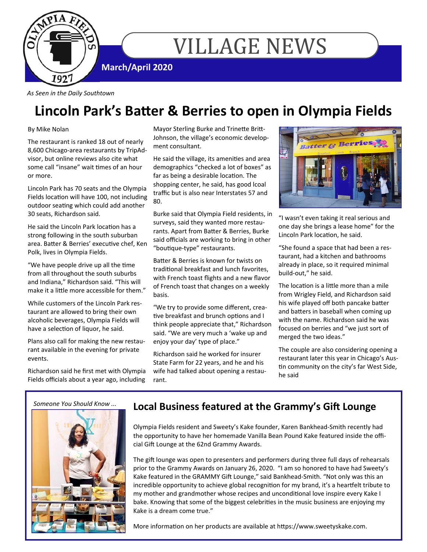

# VILLAGE NEWS

**March/April 2020** 

*As Seen in the Daily Southtown* 

# **Lincoln Park's BaƩer & Berries to open in Olympia Fields**

### By Mike Nolan

The restaurant is ranked 18 out of nearly 8,600 Chicago‐area restaurants by TripAd‐ visor, but online reviews also cite what some call "insane" wait times of an hour or more.

Lincoln Park has 70 seats and the Olympia Fields location will have 100, not including outdoor seating which could add another 30 seats, Richardson said.

He said the Lincoln Park location has a strong following in the south suburban area. Batter & Berries' executive chef, Ken Polk, lives in Olympia Fields.

"We have people drive up all the time from all throughout the south suburbs and Indiana," Richardson said. "This will make it a little more accessible for them."

While customers of the Lincoln Park res‐ taurant are allowed to bring their own alcoholic beverages, Olympia Fields will have a selection of liquor, he said.

Plans also call for making the new restau‐ rant available in the evening for private events.

Richardson said he first met with Olympia Fields officials about a year ago, including

Mayor Sterling Burke and Trinette Britt-Johnson, the village's economic develop‐ ment consultant.

He said the village, its amenities and area demographics "checked a lot of boxes" as far as being a desirable location. The shopping center, he said, has good lcoal traffic but is also near Interstates 57 and 80.

Burke said that Olympia Field residents, in surveys, said they wanted more restau‐ rants. Apart from Batter & Berries, Burke said officials are working to bring in other "boutique-type" restaurants.

Batter & Berries is known for twists on traditional breakfast and lunch favorites. with French toast flights and a new flavor of French toast that changes on a weekly basis.

"We try to provide some different, crea‐ tive breakfast and brunch options and I think people appreciate that," Richardson said. "We are very much a 'wake up and enjoy your day' type of place."

Richardson said he worked for insurer State Farm for 22 years, and he and his wife had talked about opening a restau‐ rant.



"I wasn't even taking it real serious and one day she brings a lease home" for the Lincoln Park location, he said.

"She found a space that had been a res‐ taurant, had a kitchen and bathrooms already in place, so it required minimal build‐out," he said.

The location is a little more than a mile from Wrigley Field, and Richardson said his wife played off both pancake batter and batters in baseball when coming up with the name. Richardson said he was focused on berries and "we just sort of merged the two ideas."

The couple are also considering opening a restaurant later this year in Chicago's Aus‐ tin community on the city's far West Side, he said

*Someone You Should Know ...* 



### Local Business featured at the Grammy's Gift Lounge

Olympia Fields resident and Sweety's Kake founder, Karen Bankhead‐Smith recently had the opportunity to have her homemade Vanilla Bean Pound Kake featured inside the offi‐ cial Gift Lounge at the 62nd Grammy Awards.

The gift lounge was open to presenters and performers during three full days of rehearsals prior to the Grammy Awards on January 26, 2020. "I am so honored to have had Sweety's Kake featured in the GRAMMY Gift Lounge," said Bankhead-Smith. "Not only was this an incredible opportunity to achieve global recognition for my brand, it's a heartfelt tribute to my mother and grandmother whose recipes and unconditional love inspire every Kake I bake. Knowing that some of the biggest celebrities in the music business are enjoying my Kake is a dream come true."

More information on her products are available at https://www.sweetyskake.com.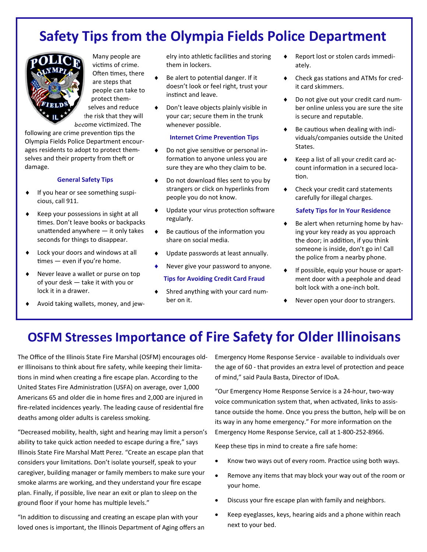## **Safety Tips from the Olympia Fields Police Department**



Many people are victims of crime. Often times, there are steps that people can take to protect them‐ selves and reduce the risk that they will become victimized. The

following are crime prevention tips the Olympia Fields Police Department encour‐ ages residents to adopt to protect them‐ selves and their property from theft or damage.

### **General Safety Tips**

- ◆ If you hear or see something suspicious, call 911.
- ◆ Keep your possessions in sight at all times. Don't leave books or backpacks unattended anywhere  $-$  it only takes seconds for things to disappear.
- ◆ Lock your doors and windows at all  $times -$  even if you're home.
- Never leave a wallet or purse on top of your desk — take it with you or lock it in a drawer.
- Avoid taking wallets, money, and jew‐

elry into athletic facilities and storing them in lockers.

- $\triangleleft$  Be alert to potential danger. If it doesn't look or feel right, trust your instinct and leave.
- Don't leave objects plainly visible in your car; secure them in the trunk whenever possible.

#### **Internet Crime Prevention Tips**

- ◆ Do not give sensitive or personal information to anyone unless you are sure they are who they claim to be.
- ◆ Do not download files sent to you by strangers or click on hyperlinks from people you do not know.
- Update your virus protection software regularly.
- Be cautious of the information you share on social media.
- Update passwords at least annually.
- Never give your password to anyone.

#### **Tips for Avoiding Credit Card Fraud**

 Shred anything with your card num‐ ber on it.

- Report lost or stolen cards immedi‐ ately.
- ◆ Check gas stations and ATMs for credit card skimmers.
- ◆ Do not give out your credit card number online unless you are sure the site is secure and reputable.
- Be cautious when dealing with individuals/companies outside the United States.
- $\bullet$  Keep a list of all your credit card account information in a secured location.
- ◆ Check your credit card statements carefully for illegal charges.

#### **Safety Tips for In Your Residence**

- $\bullet$  Be alert when returning home by having your key ready as you approach the door; in addition, if you think someone is inside, don't go in! Call the police from a nearby phone.
- ◆ If possible, equip your house or apartment door with a peephole and dead bolt lock with a one‐inch bolt.
- Never open your door to strangers.

### **OSFM Stresses Importance of Fire Safety for Older Illinoisans**

The Office of the Illinois State Fire Marshal (OSFM) encourages old‐ er Illinoisans to think about fire safety, while keeping their limita‐ tions in mind when creating a fire escape plan. According to the United States Fire Administration (USFA) on average, over 1,000 Americans 65 and older die in home fires and 2,000 are injured in fire-related incidences yearly. The leading cause of residential fire deaths among older adults is careless smoking.

"Decreased mobility, health, sight and hearing may limit a person's ability to take quick action needed to escape during a fire," says Illinois State Fire Marshal Matt Perez. "Create an escape plan that considers your limitations. Don't isolate yourself, speak to your caregiver, building manager or family members to make sure your smoke alarms are working, and they understand your fire escape plan. Finally, if possible, live near an exit or plan to sleep on the ground floor if your home has multiple levels."

"In addition to discussing and creating an escape plan with your loved ones is important, the Illinois Department of Aging offers an Emergency Home Response Service ‐ available to individuals over the age of 60 - that provides an extra level of protection and peace of mind," said Paula Basta, Director of IDoA.

"Our Emergency Home Response Service is a 24‐hour, two‐way voice communication system that, when activated, links to assistance outside the home. Once you press the button, help will be on its way in any home emergency." For more information on the Emergency Home Response Service, call at 1‐800‐252‐8966.

Keep these tips in mind to create a fire safe home:

- Know two ways out of every room. Practice using both ways.
- Remove any items that may block your way out of the room or your home.
- Discuss your fire escape plan with family and neighbors.
- Keep eyeglasses, keys, hearing aids and a phone within reach next to your bed.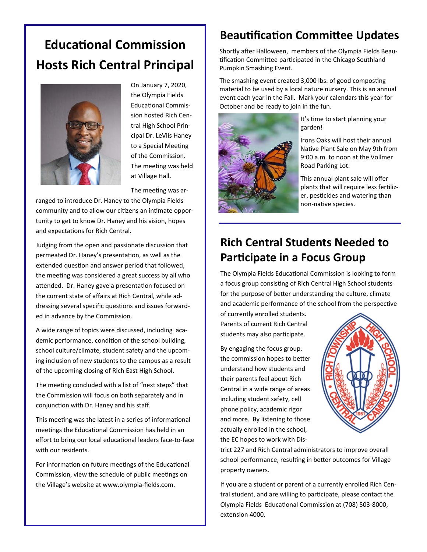# **EducaƟonal Commission Hosts Rich Central Principal**



On January 7, 2020, the Olympia Fields EducaƟonal Commis‐ sion hosted Rich Cen‐ tral High School Prin‐ cipal Dr. LeViis Haney to a Special Meeting of the Commission. The meeting was held at Village Hall.

The meeting was ar-

ranged to introduce Dr. Haney to the Olympia Fields community and to allow our citizens an intimate opportunity to get to know Dr. Haney and his vision, hopes and expectations for Rich Central.

Judging from the open and passionate discussion that permeated Dr. Haney's presentation, as well as the extended question and answer period that followed, the meeting was considered a great success by all who attended. Dr. Haney gave a presentation focused on the current state of affairs at Rich Central, while ad‐ dressing several specific questions and issues forwarded in advance by the Commission.

A wide range of topics were discussed, including aca‐ demic performance, condition of the school building, school culture/climate, student safety and the upcom‐ ing inclusion of new students to the campus as a result of the upcoming closing of Rich East High School.

The meeting concluded with a list of "next steps" that the Commission will focus on both separately and in conjunction with Dr. Haney and his staff.

This meeting was the latest in a series of informational meetings the Educational Commission has held in an effort to bring our local educational leaders face-to-face with our residents.

For information on future meetings of the Educational Commission, view the schedule of public meetings on the Village's website at www.olympia‐fields.com.

### **Beautification Committee Updates**

Shortly after Halloween, members of the Olympia Fields Beautification Committee participated in the Chicago Southland Pumpkin Smashing Event.

The smashing event created 3,000 lbs. of good composting material to be used by a local nature nursery. This is an annual event each year in the Fall. Mark your calendars this year for October and be ready to join in the fun.



It's time to start planning your garden!

Irons Oaks will host their annual Native Plant Sale on May 9th from 9:00 a.m. to noon at the Vollmer Road Parking Lot.

This annual plant sale will offer plants that will require less fertilizer, pesticides and watering than non-native species.

### **Rich Central Students Needed to Participate in a Focus Group**

The Olympia Fields Educational Commission is looking to form a focus group consisting of Rich Central High School students for the purpose of better understanding the culture, climate and academic performance of the school from the perspective

of currently enrolled students. Parents of current Rich Central students may also participate.

By engaging the focus group, the commission hopes to better understand how students and their parents feel about Rich Central in a wide range of areas including student safety, cell phone policy, academic rigor and more. By listening to those actually enrolled in the school, the EC hopes to work with Dis‐



trict 227 and Rich Central administrators to improve overall school performance, resulting in better outcomes for Village property owners.

If you are a student or parent of a currently enrolled Rich Cen‐ tral student, and are willing to participate, please contact the Olympia Fields Educational Commission at (708) 503-8000, extension 4000.